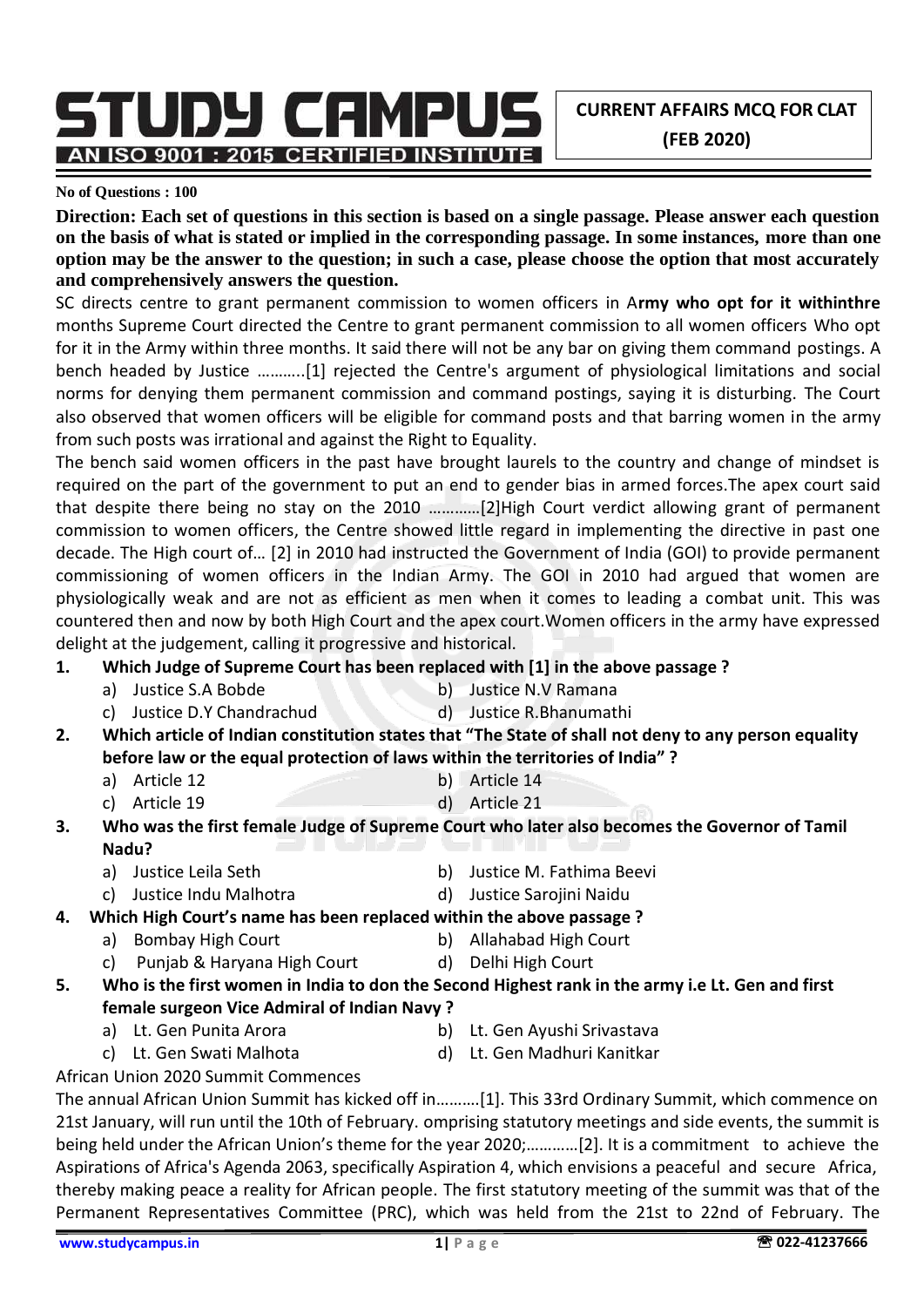**CURRENT AFFAIRS MCQ FOR CLAT (FEB 2020)**

STUDY CAMPUS AN ISO 9001 : 2015 CERTIFIED INSTITUTE

#### **No of Questions : 100**

**Direction: Each set of questions in this section is based on a single passage. Please answer each question on the basis of what is stated or implied in the corresponding passage. In some instances, more than one option may be the answer to the question; in such a case, please choose the option that most accurately and comprehensively answers the question.**

SC directs centre to grant permanent commission to women officers in A**rmy who opt for it withinthre**  months Supreme Court directed the Centre to grant permanent commission to all women officers Who opt for it in the Army within three months. It said there will not be any bar on giving them command postings. A bench headed by Justice ………..[1] rejected the Centre's argument of physiological limitations and social norms for denying them permanent commission and command postings, saying it is disturbing. The Court also observed that women officers will be eligible for command posts and that barring women in the army from such posts was irrational and against the Right to Equality.

The bench said women officers in the past have brought laurels to the country and change of mindset is required on the part of the government to put an end to gender bias in armed forces.The apex court said that despite there being no stay on the 2010 …………[2]High Court verdict allowing grant of permanent commission to women officers, the Centre showed little regard in implementing the directive in past one decade. The High court of… [2] in 2010 had instructed the Government of India (GOI) to provide permanent commissioning of women officers in the Indian Army. The GOI in 2010 had argued that women are physiologically weak and are not as efficient as men when it comes to leading a combat unit. This was countered then and now by both High Court and the apex court.Women officers in the army have expressed delight at the judgement, calling it progressive and historical.

- **1. Which Judge of Supreme Court has been replaced with [1] in the above passage ?**
	- a) Justice S.A Bobde b) Justice N.V Ramana
	- c) Justice D.Y Chandrachud d) Justice R.Bhanumathi
- **2. Which article of Indian constitution states that "The State of shall not deny to any person equality before law or the equal protection of laws within the territories of India" ?**
	- a) Article 12 b) Article 14
	- c) Article 19 d) Article 21
- **3. Who was the first female Judge of Supreme Court who later also becomes the Governor of Tamil Nadu?**
	- a) Justice Leila Seth b) Justice M. Fathima Beevi
		-
	- c) Justice Indu Malhotra d) Justice Sarojini Naidu
- **4. Which High Court's name has been replaced within the above passage ?**
	- a) Bombay High Court b) Allahabad High Court c) Punjab & Haryana High Court (d) Delhi High Court
- **5. Who is the first women in India to don the Second Highest rank in the army i.e Lt. Gen and first female surgeon Vice Admiral of Indian Navy ?**
	- a) Lt. Gen Punita Arora (b) Lt. Gen Ayushi Srivastava
		-
	- c) Lt. Gen Swati Malhota d) Lt. Gen Madhuri Kanitkar

African Union 2020 Summit Commences

The annual African Union Summit has kicked off in……….[1]. This 33rd Ordinary Summit, which commence on 21st January, will run until the 10th of February. omprising statutory meetings and side events, the summit is being held under the African Union's theme for the year 2020;…………[2]. It is a commitment to achieve the Aspirations of Africa's Agenda 2063, specifically Aspiration 4, which envisions a peaceful and secure Africa, thereby making peace a reality for African people. The first statutory meeting of the summit was that of the Permanent Representatives Committee (PRC), which was held from the 21st to 22nd of February. The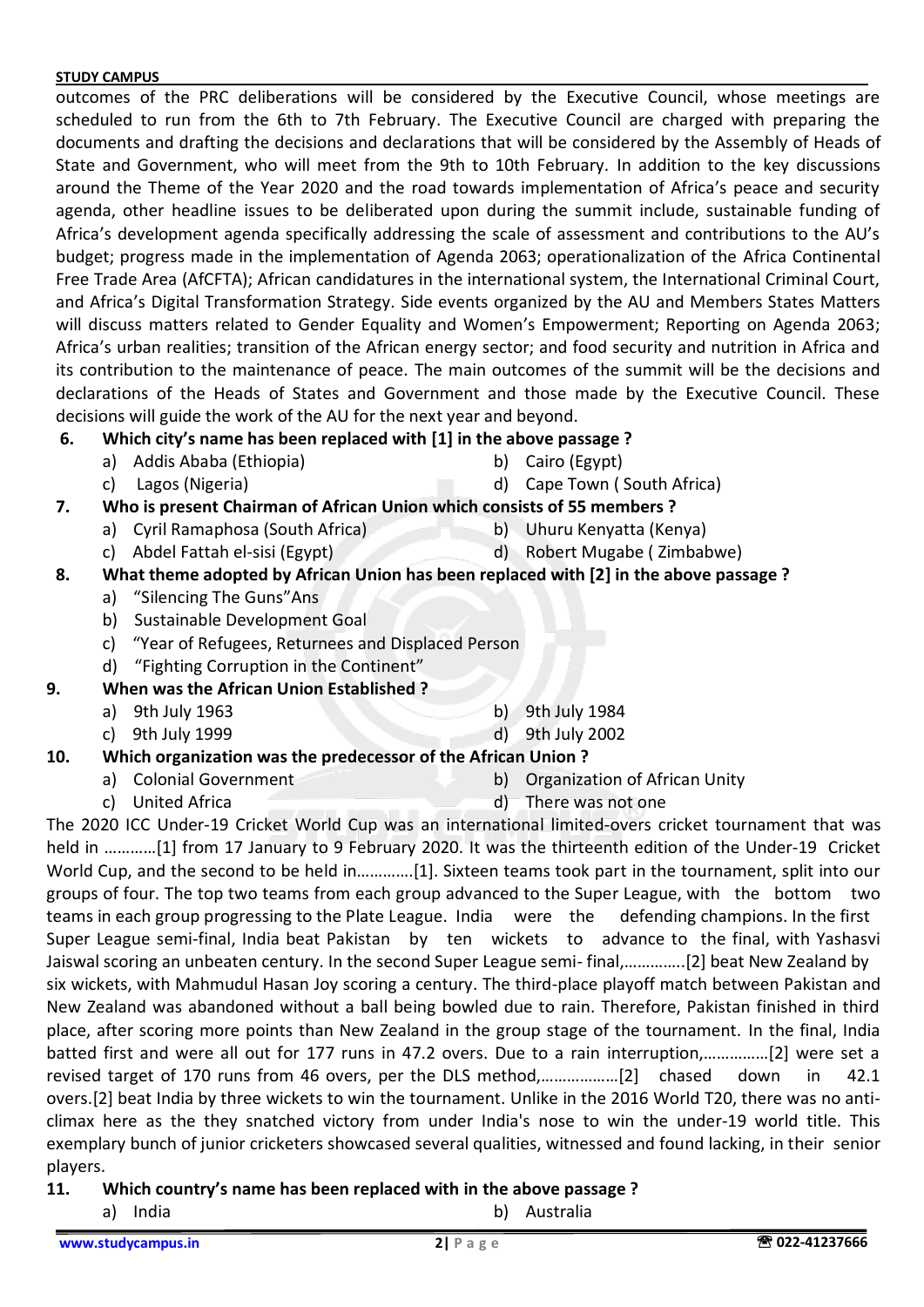outcomes of the PRC deliberations will be considered by the Executive Council, whose meetings are scheduled to run from the 6th to 7th February. The Executive Council are charged with preparing the documents and drafting the decisions and declarations that will be considered by the Assembly of Heads of State and Government, who will meet from the 9th to 10th February. In addition to the key discussions around the Theme of the Year 2020 and the road towards implementation of Africa's peace and security agenda, other headline issues to be deliberated upon during the summit include, sustainable funding of Africa's development agenda specifically addressing the scale of assessment and contributions to the AU's budget; progress made in the implementation of Agenda 2063; operationalization of the Africa Continental Free Trade Area (AfCFTA); African candidatures in the international system, the International Criminal Court, and Africa's Digital Transformation Strategy. Side events organized by the AU and Members States Matters will discuss matters related to Gender Equality and Women's Empowerment; Reporting on Agenda 2063; Africa's urban realities; transition of the African energy sector; and food security and nutrition in Africa and its contribution to the maintenance of peace. The main outcomes of the summit will be the decisions and declarations of the Heads of States and Government and those made by the Executive Council. These decisions will guide the work of the AU for the next year and beyond.

## **6. Which city's name has been replaced with [1] in the above passage ?**

- a) Addis Ababa (Ethiopia) b) Cairo (Egypt)
	-
- c) Lagos (Nigeria) d) Cape Town ( South Africa)
	-

## **7. Who is present Chairman of African Union which consists of 55 members ?**

- a) Cyril Ramaphosa (South Africa) b) Uhuru Kenyatta (Kenya)
- c) Abdel Fattah el-sisi (Egypt) d) Robert Mugabe ( Zimbabwe)

## **8. What theme adopted by African Union has been replaced with [2] in the above passage ?**

- a) "Silencing The Guns"Ans
- b) Sustainable Development Goal
- c) "Year of Refugees, Returnees and Displaced Person
- d) "Fighting Corruption in the Continent"

## **9. When was the African Union Established ?**

- a) 9th July 1963 b) 9th July 1984
- c) 9th July 1999 d) 9th July 2002
- **10. Which organization was the predecessor of the African Union ?**
	- a) Colonial Government b) Organization of African Unity
	- c) United Africa d) There was not one
- 

The 2020 ICC Under-19 Cricket World Cup was an international limited-overs cricket tournament that was held in …………[1] from 17 January to 9 February 2020. It was the thirteenth edition of the Under-19 Cricket World Cup, and the second to be held in………….[1]. Sixteen teams took part in the tournament, split into our groups of four. The top two teams from each group advanced to the Super League, with the bottom two teams in each group progressing to the Plate League. India were the defending champions. In the first Super League semi-final, India beat Pakistan by ten wickets to advance to the final, with Yashasvi Jaiswal scoring an unbeaten century. In the second Super League semi- final,…………..[2] beat New Zealand by six wickets, with Mahmudul Hasan Joy scoring a century. The third-place playoff match between Pakistan and New Zealand was abandoned without a ball being bowled due to rain. Therefore, Pakistan finished in third place, after scoring more points than New Zealand in the group stage of the tournament. In the final, India batted first and were all out for 177 runs in 47.2 overs. Due to a rain interruption,……………[2] were set a revised target of 170 runs from 46 overs, per the DLS method,………………[2] chased down in 42.1 overs.[2] beat India by three wickets to win the tournament. Unlike in the 2016 World T20, there was no anticlimax here as the they snatched victory from under India's nose to win the under-19 world title. This exemplary bunch of junior cricketers showcased several qualities, witnessed and found lacking, in their senior players.

## **11. Which country's name has been replaced with in the above passage ?**

- a) India b) Australia
	-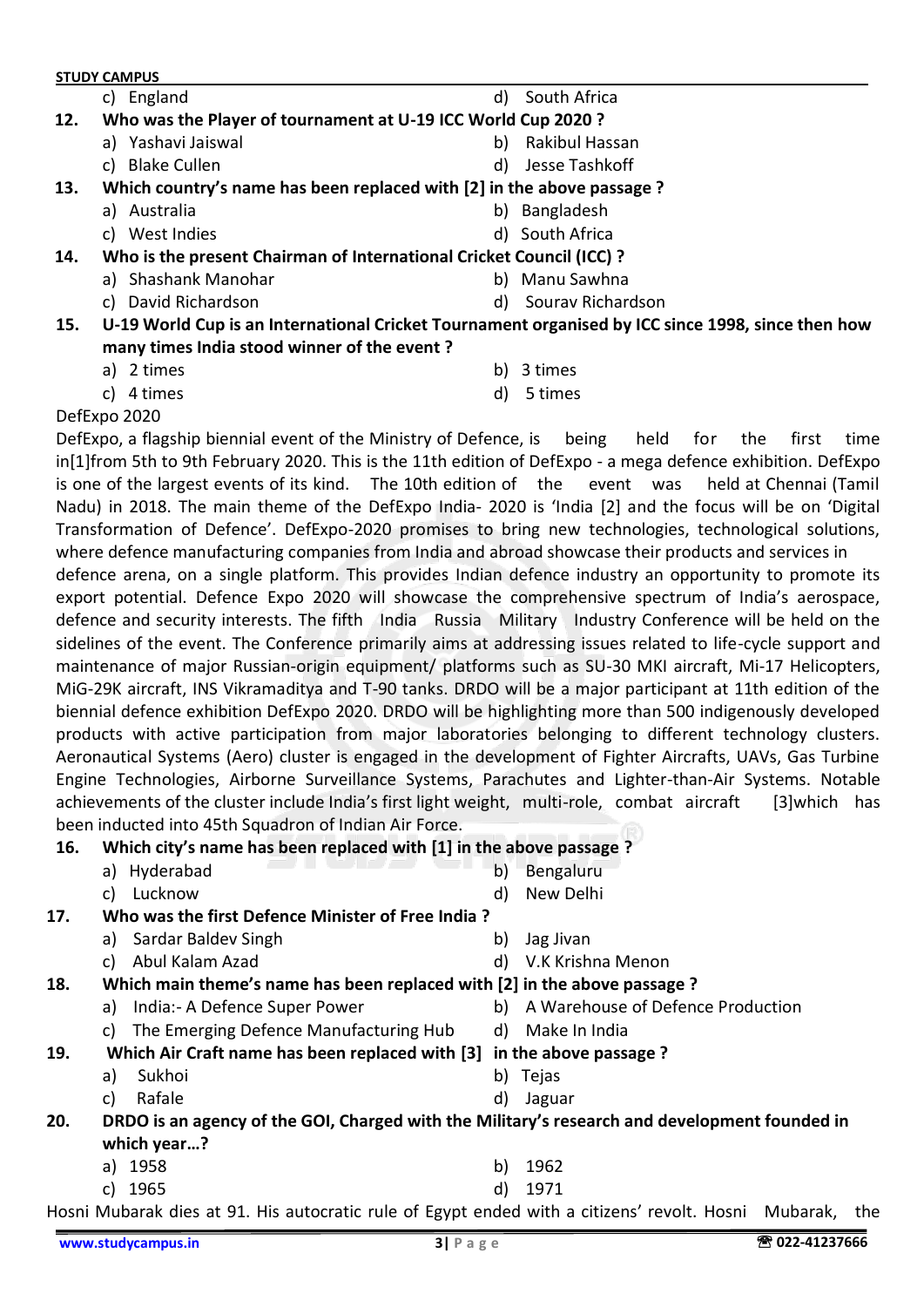**STUDY CAMPUS** c) England d) South Africa  **12. Who was the Player of tournament at U-19 ICC World Cup 2020 ?** a) Yashavi Jaiswal b) Rakibul Hassan c) Blake Cullen d) Jesse Tashkoff  **13. Which country's name has been replaced with [2] in the above passage ?** a) Australia b) Bangladesh c) West Indies d) South Africa  **14. Who is the present Chairman of International Cricket Council (ICC) ?** a) Shashank Manohar **b**) Manu Sawhna c) David Richardson d) Sourav Richardson **15. U-19 World Cup is an International Cricket Tournament organised by ICC since 1998, since then how** 

- **many times India stood winner of the event ?**
	- a) 2 times b) 3 times
	-
- 
- c) 4 times d) 5 times
- 

DefExpo 2020

DefExpo, a flagship biennial event of the Ministry of Defence, is being held for the first time in[1]from 5th to 9th February 2020. This is the 11th edition of DefExpo - a mega defence exhibition. DefExpo is one of the largest events of its kind. The 10th edition of the event was held at Chennai (Tamil Nadu) in 2018. The main theme of the DefExpo India- 2020 is 'India [2] and the focus will be on 'Digital Transformation of Defence'. DefExpo-2020 promises to bring new technologies, technological solutions, where defence manufacturing companies from India and abroad showcase their products and services in defence arena, on a single platform. This provides Indian defence industry an opportunity to promote its export potential. Defence Expo 2020 will showcase the comprehensive spectrum of India's aerospace,

defence and security interests. The fifth India Russia Military Industry Conference will be held on the sidelines of the event. The Conference primarily aims at addressing issues related to life-cycle support and maintenance of major Russian-origin equipment/ platforms such as SU-30 MKI aircraft, Mi-17 Helicopters, MiG-29K aircraft, INS Vikramaditya and T-90 tanks. DRDO will be a major participant at 11th edition of the biennial defence exhibition DefExpo 2020. DRDO will be highlighting more than 500 indigenously developed products with active participation from major laboratories belonging to different technology clusters. Aeronautical Systems (Aero) cluster is engaged in the development of Fighter Aircrafts, UAVs, Gas Turbine Engine Technologies, Airborne Surveillance Systems, Parachutes and Lighter-than-Air Systems. Notable achievements of the cluster include India's first light weight, multi-role, combat aircraft [3]which has been inducted into 45th Squadron of Indian Air Force.

#### **16. Which city's name has been replaced with [1] in the above passage ?**

- a) Hyderabad b) Bengaluru
- c) Lucknow d) New Delhi
- 
- 

## **17. Who was the first Defence Minister of Free India ?**

- a) Sardar Baldev Singh b) Jag Jivan
- c) Abul Kalam Azad d) V.K Krishna Menon
- 
- **18. Which main theme's name has been replaced with [2] in the above passage ?**
	- a) India:- A Defence Super Power b) A Warehouse of Defence Production
		-
	- c) The Emerging Defence Manufacturing Hub d) Make In India
- **19. Which Air Craft name has been replaced with [3] in the above passage ?**
	- a) Sukhoi b) Tejas
	- c) Rafale d) Jaguar
- **20. DRDO is an agency of the GOI, Charged with the Military's research and development founded in which year…?**
	- a) 1958 b) 1962
	- c) 1965 d) 1971

Hosni Mubarak dies at 91. His autocratic rule of Egypt ended with a citizens' revolt. Hosni Mubarak, the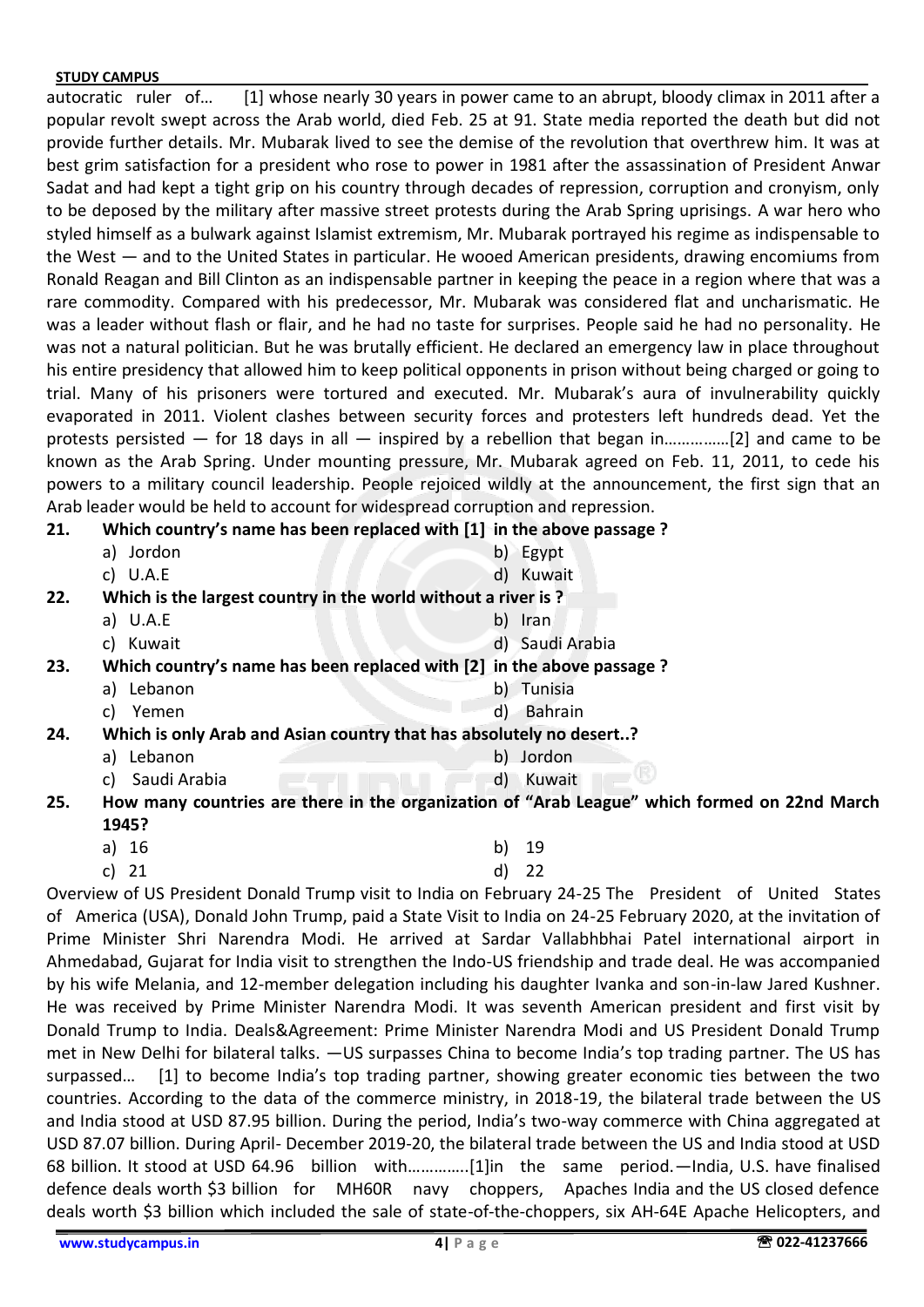autocratic ruler of… [1] whose nearly 30 years in power came to an abrupt, bloody climax in 2011 after a popular revolt swept across the Arab world, died Feb. 25 at 91. State media reported the death but did not provide further details. Mr. Mubarak lived to see the demise of the revolution that overthrew him. It was at best grim satisfaction for a president who rose to power in 1981 after the assassination of President Anwar Sadat and had kept a tight grip on his country through decades of repression, corruption and cronyism, only to be deposed by the military after massive street protests during the Arab Spring uprisings. A war hero who styled himself as a bulwark against Islamist extremism, Mr. Mubarak portrayed his regime as indispensable to the West — and to the United States in particular. He wooed American presidents, drawing encomiums from Ronald Reagan and Bill Clinton as an indispensable partner in keeping the peace in a region where that was a rare commodity. Compared with his predecessor, Mr. Mubarak was considered flat and uncharismatic. He was a leader without flash or flair, and he had no taste for surprises. People said he had no personality. He was not a natural politician. But he was brutally efficient. He declared an emergency law in place throughout his entire presidency that allowed him to keep political opponents in prison without being charged or going to trial. Many of his prisoners were tortured and executed. Mr. Mubarak's aura of invulnerability quickly evaporated in 2011. Violent clashes between security forces and protesters left hundreds dead. Yet the protests persisted — for 18 days in all — inspired by a rebellion that began in……………[2] and came to be known as the Arab Spring. Under mounting pressure, Mr. Mubarak agreed on Feb. 11, 2011, to cede his powers to a military council leadership. People rejoiced wildly at the announcement, the first sign that an Arab leader would be held to account for widespread corruption and repression.

#### **21. Which country's name has been replaced with [1] in the above passage ?**

|     | Jordon<br>a)                                                                                 | b) Egypt        |  |  |  |  |
|-----|----------------------------------------------------------------------------------------------|-----------------|--|--|--|--|
|     | c) $U.A.E$                                                                                   | d) Kuwait       |  |  |  |  |
| 22. | Which is the largest country in the world without a river is?                                |                 |  |  |  |  |
|     | a) $U.A.E$                                                                                   | b) Iran         |  |  |  |  |
|     | c) Kuwait                                                                                    | d) Saudi Arabia |  |  |  |  |
| 23. | Which country's name has been replaced with [2] in the above passage ?                       |                 |  |  |  |  |
|     | a) Lebanon                                                                                   | b) Tunisia      |  |  |  |  |
|     | Yemen<br>C)                                                                                  | d)<br>Bahrain   |  |  |  |  |
| 24. | Which is only Arab and Asian country that has absolutely no desert?                          |                 |  |  |  |  |
|     | Lebanon<br>a)                                                                                | b) Jordon       |  |  |  |  |
|     | Saudi Arabia<br>C)                                                                           | Kuwait<br>d)    |  |  |  |  |
| 25. | How many countries are there in the organization of "Arab League" which formed on 22nd March |                 |  |  |  |  |
|     | 1945?                                                                                        |                 |  |  |  |  |

- a) 16 b) 19
- c) 21 d) 22

Overview of US President Donald Trump visit to India on February 24-25 The President of United States of America (USA), Donald John Trump, paid a State Visit to India on 24-25 February 2020, at the invitation of Prime Minister Shri Narendra Modi. He arrived at Sardar Vallabhbhai Patel international airport in Ahmedabad, Gujarat for India visit to strengthen the Indo-US friendship and trade deal. He was accompanied by his wife Melania, and 12-member delegation including his daughter Ivanka and son-in-law Jared Kushner. He was received by Prime Minister Narendra Modi. It was seventh American president and first visit by Donald Trump to India. Deals&Agreement: Prime Minister Narendra Modi and US President Donald Trump met in New Delhi for bilateral talks. —US surpasses China to become India's top trading partner. The US has surpassed… [1] to become India's top trading partner, showing greater economic ties between the two countries. According to the data of the commerce ministry, in 2018-19, the bilateral trade between the US and India stood at USD 87.95 billion. During the period, India's two-way commerce with China aggregated at USD 87.07 billion. During April- December 2019-20, the bilateral trade between the US and India stood at USD 68 billion. It stood at USD 64.96 billion with…………..[1]in the same period.—India, U.S. have finalised defence deals worth \$3 billion for MH60R navy choppers, Apaches India and the US closed defence deals worth \$3 billion which included the sale of state-of-the-choppers, six AH-64E Apache Helicopters, and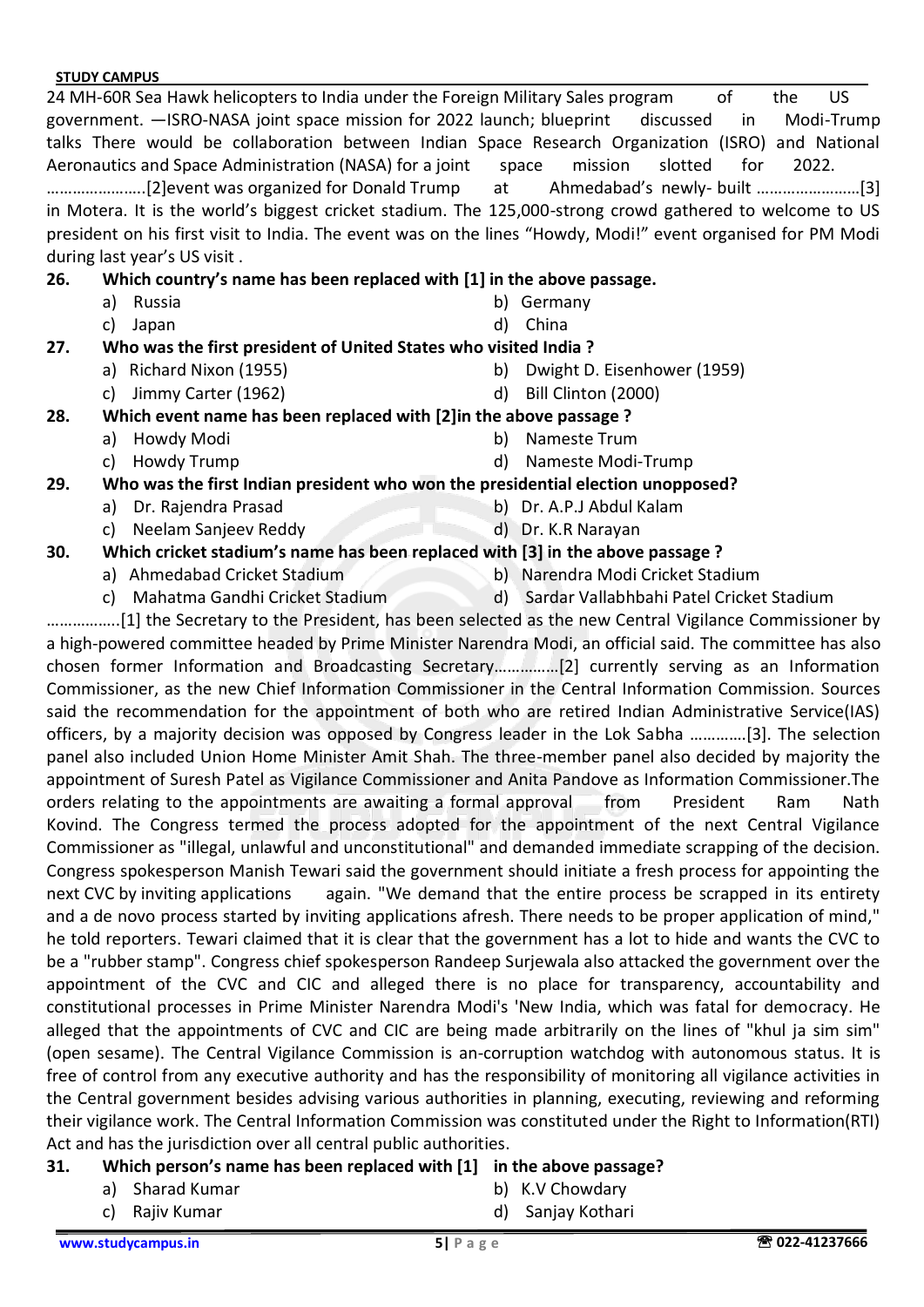24 MH-60R Sea Hawk helicopters to India under the Foreign Military Sales program of the US government. —ISRO-NASA joint space mission for 2022 launch; blueprint discussed in Modi-Trump talks There would be collaboration between Indian Space Research Organization (ISRO) and National Aeronautics and Space Administration (NASA) for a joint space mission slotted for 2022. …………………..[2]event was organized for Donald Trump at Ahmedabad's newly- built ……………………[3] in Motera. It is the world's biggest cricket stadium. The 125,000-strong crowd gathered to welcome to US president on his first visit to India. The event was on the lines "Howdy, Modi!" event organised for PM Modi during last year's US visit .

## **26. Which country's name has been replaced with [1] in the above passage.**

- 
- c) Japan d) China
- a) Russia b) Germany

## **27. Who was the first president of United States who visited India ?**

- a) Richard Nixon (1955) b) Dwight D. Eisenhower (1959)
- c) Jimmy Carter (1962) d) Bill Clinton (2000)
- **28. Which event name has been replaced with [2]in the above passage ?**
	- a) Howdy Modi b) Nameste Trum
	-
- 
- c) Howdy Trump d) Nameste Modi-Trump

## **29. Who was the first Indian president who won the presidential election unopposed?**

- a) Dr. Rajendra Prasad b) Dr. A.P.J Abdul Kalam
- c) Neelam Sanjeev Reddy d) Dr. K.R Narayan
	-

## **30. Which cricket stadium's name has been replaced with [3] in the above passage ?**

- 
- a) Ahmedabad Cricket Stadium b) Narendra Modi Cricket Stadium
- c) Mahatma Gandhi Cricket Stadium d) Sardar Vallabhbahi Patel Cricket Stadium

……………..[1] the Secretary to the President, has been selected as the new Central Vigilance Commissioner by a high-powered committee headed by Prime Minister Narendra Modi, an official said. The committee has also chosen former Information and Broadcasting Secretary……………[2] currently serving as an Information Commissioner, as the new Chief Information Commissioner in the Central Information Commission. Sources said the recommendation for the appointment of both who are retired Indian Administrative Service(IAS) officers, by a majority decision was opposed by Congress leader in the Lok Sabha ………….[3]. The selection panel also included Union Home Minister Amit Shah. The three-member panel also decided by majority the appointment of Suresh Patel as Vigilance Commissioner and Anita Pandove as Information Commissioner.The orders relating to the appointments are awaiting a formal approval from President Ram Nath Kovind. The Congress termed the process adopted for the appointment of the next Central Vigilance Commissioner as "illegal, unlawful and unconstitutional" and demanded immediate scrapping of the decision. Congress spokesperson Manish Tewari said the government should initiate a fresh process for appointing the next CVC by inviting applications again. "We demand that the entire process be scrapped in its entirety and a de novo process started by inviting applications afresh. There needs to be proper application of mind," he told reporters. Tewari claimed that it is clear that the government has a lot to hide and wants the CVC to be a "rubber stamp". Congress chief spokesperson Randeep Surjewala also attacked the government over the appointment of the CVC and CIC and alleged there is no place for transparency, accountability and constitutional processes in Prime Minister Narendra Modi's 'New India, which was fatal for democracy. He alleged that the appointments of CVC and CIC are being made arbitrarily on the lines of "khul ja sim sim" (open sesame). The Central Vigilance Commission is an-corruption watchdog with autonomous status. It is free of control from any executive authority and has the responsibility of monitoring all vigilance activities in the Central government besides advising various authorities in planning, executing, reviewing and reforming their vigilance work. The Central Information Commission was constituted under the Right to Information(RTI) Act and has the jurisdiction over all central public authorities.

## **31. Which person's name has been replaced with [1] in the above passage?**

- a) Sharad Kumar b) K.V Chowdary
- c) Rajiv Kumar d) Sanjay Kothari
- -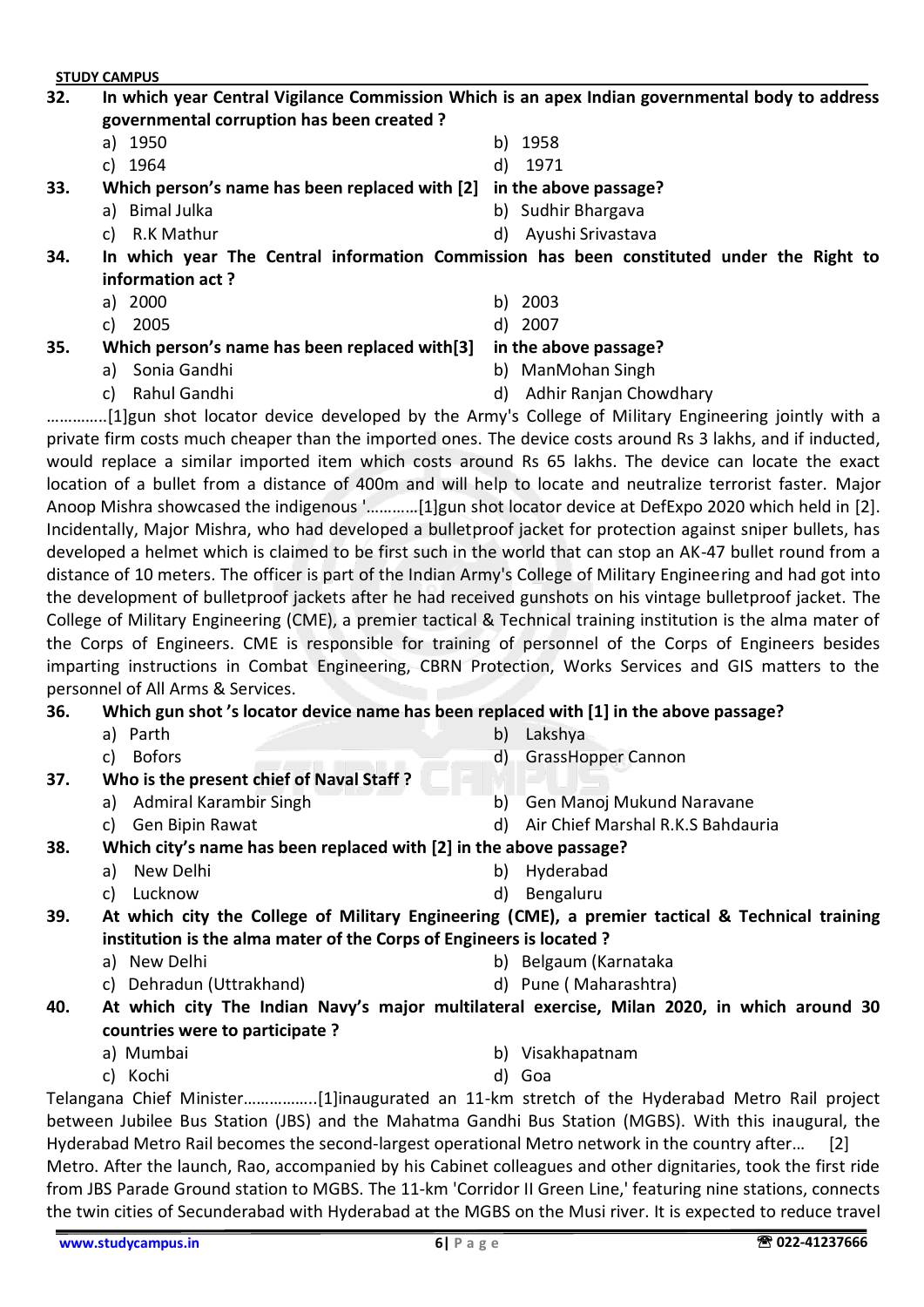## **32. In which year Central Vigilance Commission Which is an apex Indian governmental body to address governmental corruption has been created ?**

- a) 1950 b) 1958
- 
- 
- c) 1964 d) 1971
- **33. Which person's name has been replaced with [2] in the above passage?**
	- -
	- a) Bimal Julka b) Sudhir Bhargava
	- c) R.K Mathur d) Ayushi Srivastava

**34. In which year The Central information Commission has been constituted under the Right to information act ?**

- a) 2000 b) 2003
- c) 2005 d) 2007
- -

## **35. Which person's name has been replaced with[3] in the above passage?**

- a) Sonia Gandhi b) ManMohan Singh
- c) Rahul Gandhi d) Adhir Ranjan Chowdhary
	-
- …………..[1]gun shot locator device developed by the Army's College of Military Engineering jointly with a private firm costs much cheaper than the imported ones. The device costs around Rs 3 lakhs, and if inducted, would replace a similar imported item which costs around Rs 65 lakhs. The device can locate the exact location of a bullet from a distance of 400m and will help to locate and neutralize terrorist faster. Major Anoop Mishra showcased the indigenous '…………[1]gun shot locator device at DefExpo 2020 which held in [2]. Incidentally, Major Mishra, who had developed a bulletproof jacket for protection against sniper bullets, has developed a helmet which is claimed to be first such in the world that can stop an AK-47 bullet round from a

distance of 10 meters. The officer is part of the Indian Army's College of Military Engineering and had got into the development of bulletproof jackets after he had received gunshots on his vintage bulletproof jacket. The College of Military Engineering (CME), a premier tactical & Technical training institution is the alma mater of the Corps of Engineers. CME is responsible for training of personnel of the Corps of Engineers besides imparting instructions in Combat Engineering, CBRN Protection, Works Services and GIS matters to the personnel of All Arms & Services.

**36. Which gun shot 's locator device name has been replaced with [1] in the above passage?**

- 
- 
- a) Parth b) Lakshya
- c) Bofors d) GrassHopper Cannon
- **37. Who is the present chief of Naval Staff ?**
	-
	-
	- a) Admiral Karambir Singh b) Gen Manoj Mukund Naravane
	- c) Gen Bipin Rawat d) Air Chief Marshal R.K.S Bahdauria

## **38. Which city's name has been replaced with [2] in the above passage?**

- a) New Delhi b) Hyderabad
- c) Lucknow d) Bengaluru
- 
- **39. At which city the College of Military Engineering (CME), a premier tactical & Technical training institution is the alma mater of the Corps of Engineers is located ?**
	-
	- c) Dehradun (Uttrakhand) d) Pune ( Maharashtra)
	- a) New Delhi b) Belgaum (Karnataka
		-
- **40. At which city The Indian Navy's major multilateral exercise, Milan 2020, in which around 30 countries were to participate ?**
	-
	- c) Kochi d) Goa
	- a) Mumbai b) Visakhapatnam
		-

Telangana Chief Minister……………..[1]inaugurated an 11-km stretch of the Hyderabad Metro Rail project between Jubilee Bus Station (JBS) and the Mahatma Gandhi Bus Station (MGBS). With this inaugural, the Hyderabad Metro Rail becomes the second-largest operational Metro network in the country after… [2] Metro. After the launch, Rao, accompanied by his Cabinet colleagues and other dignitaries, took the first ride

from JBS Parade Ground station to MGBS. The 11-km 'Corridor II Green Line,' featuring nine stations, connects the twin cities of Secunderabad with Hyderabad at the MGBS on the Musi river. It is expected to reduce travel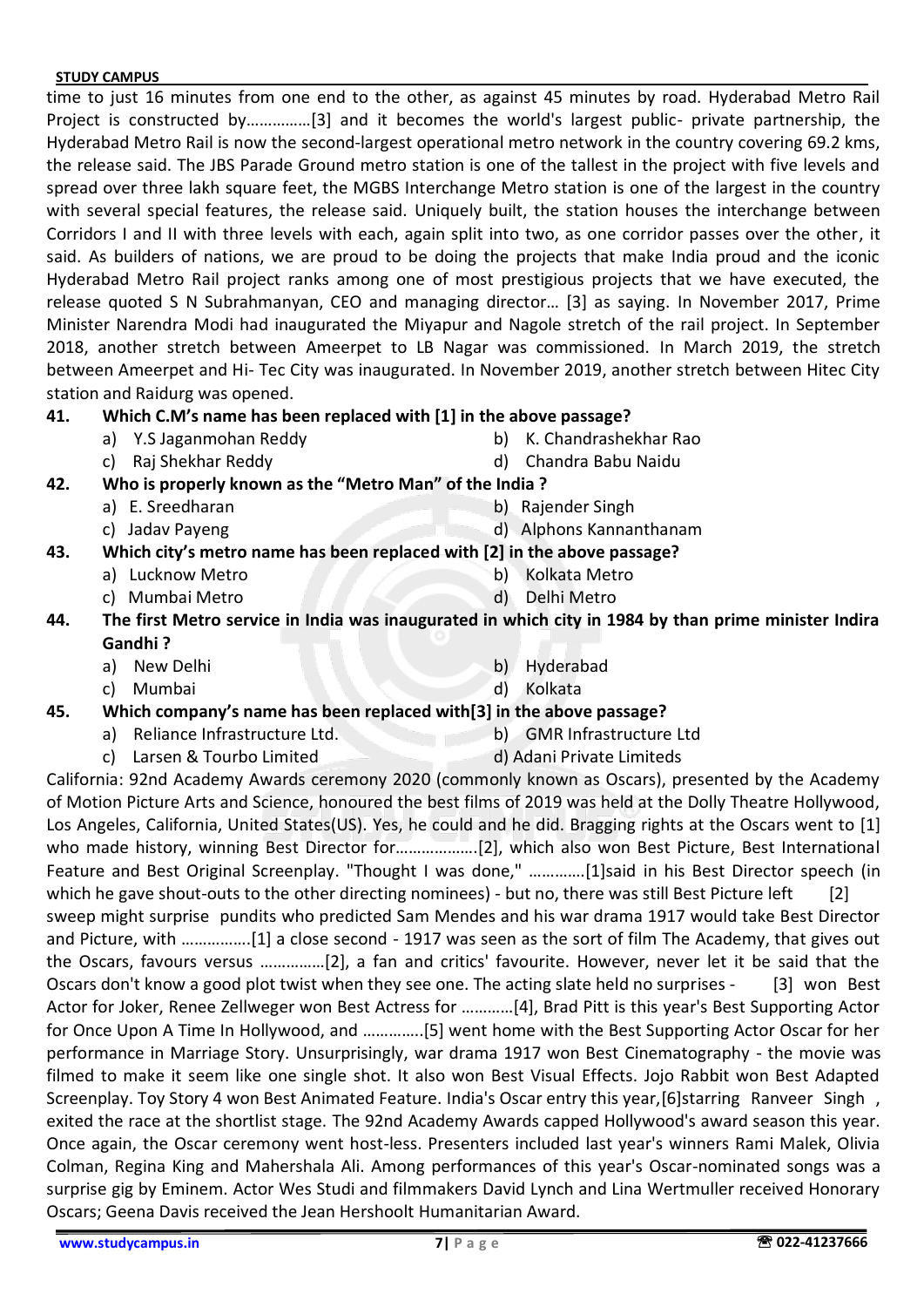time to just 16 minutes from one end to the other, as against 45 minutes by road. Hyderabad Metro Rail Project is constructed by……………[3] and it becomes the world's largest public- private partnership, the Hyderabad Metro Rail is now the second-largest operational metro network in the country covering 69.2 kms, the release said. The JBS Parade Ground metro station is one of the tallest in the project with five levels and spread over three lakh square feet, the MGBS Interchange Metro station is one of the largest in the country with several special features, the release said. Uniquely built, the station houses the interchange between Corridors I and II with three levels with each, again split into two, as one corridor passes over the other, it said. As builders of nations, we are proud to be doing the projects that make India proud and the iconic Hyderabad Metro Rail project ranks among one of most prestigious projects that we have executed, the release quoted S N Subrahmanyan, CEO and managing director… [3] as saying. In November 2017, Prime Minister Narendra Modi had inaugurated the Miyapur and Nagole stretch of the rail project. In September 2018, another stretch between Ameerpet to LB Nagar was commissioned. In March 2019, the stretch between Ameerpet and Hi- Tec City was inaugurated. In November 2019, another stretch between Hitec City station and Raidurg was opened.

## **41. Which C.M's name has been replaced with [1] in the above passage?**

- 
- 
- a) Y.S Jaganmohan Reddy b) K. Chandrashekhar Rao
- c) Raj Shekhar Reddy d) Chandra Babu Naidu
- **42. Who is properly known as the "Metro Man" of the India ?**
	- a) E. Sreedharan b) Rajender Singh
	-
- c) Jadav Payeng d) Alphons Kannanthanam **43. Which city's metro name has been replaced with [2] in the above passage?**
	- -
	- a) Lucknow Metro b) Kolkata Metro
	- c) Mumbai Metro d) Delhi Metro
- **44. The first Metro service in India was inaugurated in which city in 1984 by than prime minister Indira Gandhi ?**
	- a) New Delhi b) Hyderabad
	- c) Mumbai d) Kolkata
- **45. Which company's name has been replaced with[3] in the above passage?**
	- a) Reliance Infrastructure Ltd. b) GMR Infrastructure Ltd
	- c) Larsen & Tourbo Limited d) Adani Private Limiteds

California: 92nd Academy Awards ceremony 2020 (commonly known as Oscars), presented by the Academy of Motion Picture Arts and Science, honoured the best films of 2019 was held at the Dolly Theatre Hollywood, Los Angeles, California, United States(US). Yes, he could and he did. Bragging rights at the Oscars went to [1] who made history, winning Best Director for……………….[2], which also won Best Picture, Best International Feature and Best Original Screenplay. "Thought I was done," ………….[1]said in his Best Director speech (in which he gave shout-outs to the other directing nominees) - but no, there was still Best Picture left sweep might surprise pundits who predicted Sam Mendes and his war drama 1917 would take Best Director and Picture, with …………….[1] a close second - 1917 was seen as the sort of film The Academy, that gives out the Oscars, favours versus ……………[2], a fan and critics' favourite. However, never let it be said that the Oscars don't know a good plot twist when they see one. The acting slate held no surprises - [3] won Best Actor for Joker, Renee Zellweger won Best Actress for …………[4], Brad Pitt is this year's Best Supporting Actor

for Once Upon A Time In Hollywood, and …………..[5] went home with the Best Supporting Actor Oscar for her performance in Marriage Story. Unsurprisingly, war drama 1917 won Best Cinematography - the movie was filmed to make it seem like one single shot. It also won Best Visual Effects. Jojo Rabbit won Best Adapted Screenplay. Toy Story 4 won Best Animated Feature. India's Oscar entry this year,[6]starring Ranveer Singh , exited the race at the shortlist stage. The 92nd Academy Awards capped Hollywood's award season this year. Once again, the Oscar ceremony went host-less. Presenters included last year's winners Rami Malek, Olivia Colman, Regina King and Mahershala Ali. Among performances of this year's Oscar-nominated songs was a surprise gig by Eminem. Actor Wes Studi and filmmakers David Lynch and Lina Wertmuller received Honorary Oscars; Geena Davis received the Jean Hershoolt Humanitarian Award.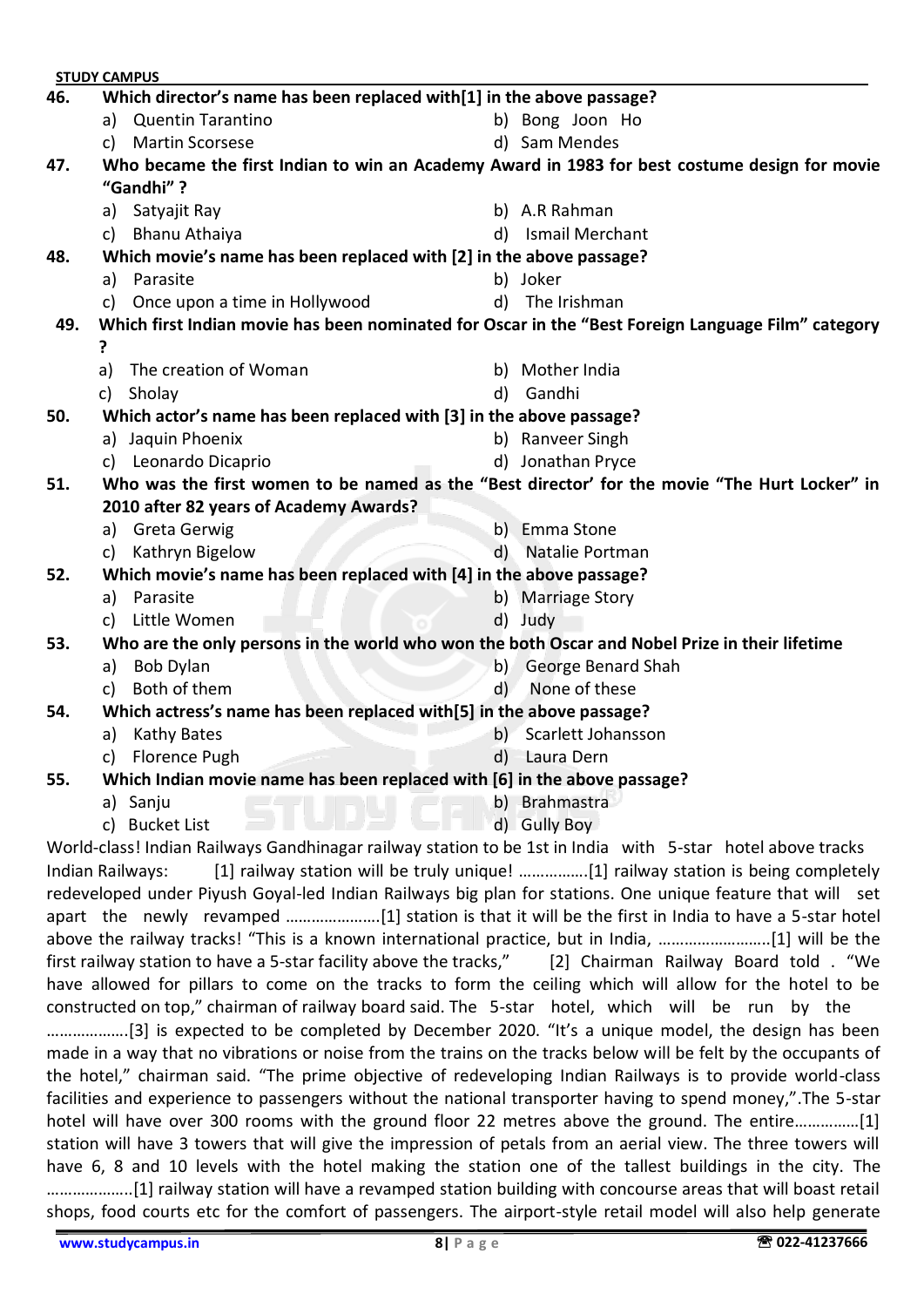| <b>STUDY CAMPUS</b>                                                                                       |                                                                                                |                                                                                                            |              |                                                                                   |  |  |
|-----------------------------------------------------------------------------------------------------------|------------------------------------------------------------------------------------------------|------------------------------------------------------------------------------------------------------------|--------------|-----------------------------------------------------------------------------------|--|--|
| 46.                                                                                                       |                                                                                                | Which director's name has been replaced with[1] in the above passage?                                      |              |                                                                                   |  |  |
|                                                                                                           |                                                                                                | a) Quentin Tarantino                                                                                       |              | b) Bong Joon Ho                                                                   |  |  |
|                                                                                                           | c)                                                                                             | <b>Martin Scorsese</b>                                                                                     |              | d) Sam Mendes                                                                     |  |  |
| 47.                                                                                                       |                                                                                                | Who became the first Indian to win an Academy Award in 1983 for best costume design for movie              |              |                                                                                   |  |  |
|                                                                                                           |                                                                                                | "Gandhi"?                                                                                                  |              |                                                                                   |  |  |
|                                                                                                           |                                                                                                | a) Satyajit Ray                                                                                            |              | b) A.R Rahman                                                                     |  |  |
|                                                                                                           |                                                                                                | c) Bhanu Athaiya                                                                                           | d)           | Ismail Merchant                                                                   |  |  |
| 48.                                                                                                       | Which movie's name has been replaced with [2] in the above passage?                            |                                                                                                            |              |                                                                                   |  |  |
|                                                                                                           |                                                                                                | a) Parasite                                                                                                |              | b) Joker                                                                          |  |  |
|                                                                                                           |                                                                                                | c) Once upon a time in Hollywood                                                                           |              | d) The Irishman                                                                   |  |  |
| Which first Indian movie has been nominated for Oscar in the "Best Foreign Language Film" category<br>49. |                                                                                                |                                                                                                            |              |                                                                                   |  |  |
|                                                                                                           | ?                                                                                              |                                                                                                            |              |                                                                                   |  |  |
|                                                                                                           | a)                                                                                             | The creation of Woman                                                                                      |              | b) Mother India                                                                   |  |  |
|                                                                                                           |                                                                                                | c) Sholay                                                                                                  |              | d) Gandhi                                                                         |  |  |
| 50.                                                                                                       |                                                                                                | Which actor's name has been replaced with [3] in the above passage?                                        |              |                                                                                   |  |  |
|                                                                                                           |                                                                                                | a) Jaquin Phoenix                                                                                          |              | b) Ranveer Singh                                                                  |  |  |
|                                                                                                           |                                                                                                | c) Leonardo Dicaprio                                                                                       |              | d) Jonathan Pryce                                                                 |  |  |
| Who was the first women to be named as the "Best director' for the movie "The Hurt Locker" in<br>51.      |                                                                                                |                                                                                                            |              |                                                                                   |  |  |
|                                                                                                           |                                                                                                | 2010 after 82 years of Academy Awards?                                                                     |              |                                                                                   |  |  |
|                                                                                                           |                                                                                                | a) Greta Gerwig                                                                                            |              | b) Emma Stone                                                                     |  |  |
|                                                                                                           | c)                                                                                             | Kathryn Bigelow                                                                                            | $\mathsf{d}$ | Natalie Portman                                                                   |  |  |
| 52.                                                                                                       | Which movie's name has been replaced with [4] in the above passage?                            |                                                                                                            |              |                                                                                   |  |  |
|                                                                                                           |                                                                                                | a) Parasite                                                                                                |              | b) Marriage Story                                                                 |  |  |
|                                                                                                           | C)                                                                                             | Little Women                                                                                               |              | d) Judy                                                                           |  |  |
| 53.                                                                                                       | Who are the only persons in the world who won the both Oscar and Nobel Prize in their lifetime |                                                                                                            |              |                                                                                   |  |  |
|                                                                                                           | a)                                                                                             | <b>Bob Dylan</b>                                                                                           | $\mathsf{b}$ | George Benard Shah                                                                |  |  |
|                                                                                                           | c)                                                                                             | Both of them                                                                                               | $\mathsf{d}$ | None of these                                                                     |  |  |
| 54.                                                                                                       |                                                                                                | Which actress's name has been replaced with[5] in the above passage?                                       |              |                                                                                   |  |  |
|                                                                                                           | a)                                                                                             | <b>Kathy Bates</b>                                                                                         |              | b) Scarlett Johansson                                                             |  |  |
|                                                                                                           | c)                                                                                             | <b>Florence Pugh</b>                                                                                       | d)           | Laura Dern                                                                        |  |  |
| 55.                                                                                                       |                                                                                                | Which Indian movie name has been replaced with [6] in the above passage?                                   |              |                                                                                   |  |  |
|                                                                                                           |                                                                                                | a) Sanju                                                                                                   |              | b) Brahmastra                                                                     |  |  |
|                                                                                                           |                                                                                                | c) Bucket List                                                                                             |              | d) Gully Boy                                                                      |  |  |
|                                                                                                           |                                                                                                | World-class! Indian Railways Gandhinagar railway station to be 1st in India with 5-star hotel above tracks |              |                                                                                   |  |  |
|                                                                                                           |                                                                                                | Indian Railways:                                                                                           |              | [1] railway station will be truly unique! [1] railway station is being completely |  |  |
|                                                                                                           |                                                                                                | redeveloped under Piyush Goyal-led Indian Railways big plan for stations. One unique feature that will set |              |                                                                                   |  |  |
|                                                                                                           |                                                                                                | apart the newly revamped [1] station is that it will be the first in India to have a 5-star hotel          |              |                                                                                   |  |  |

above the railway tracks! "This is a known international practice, but in India, ...........................[1] will be the first railway station to have a 5-star facility above the tracks," [2] Chairman Railway Board told . "We have allowed for pillars to come on the tracks to form the ceiling which will allow for the hotel to be constructed on top," chairman of railway board said. The 5-star hotel, which will be run by the ……………….[3] is expected to be completed by December 2020. "It's a unique model, the design has been made in a way that no vibrations or noise from the trains on the tracks below will be felt by the occupants of the hotel," chairman said. "The prime objective of redeveloping Indian Railways is to provide world-class facilities and experience to passengers without the national transporter having to spend money,".The 5-star hotel will have over 300 rooms with the ground floor 22 metres above the ground. The entire...............[1] station will have 3 towers that will give the impression of petals from an aerial view. The three towers will have 6, 8 and 10 levels with the hotel making the station one of the tallest buildings in the city. The ………………..[1] railway station will have a revamped station building with concourse areas that will boast retail shops, food courts etc for the comfort of passengers. The airport-style retail model will also help generate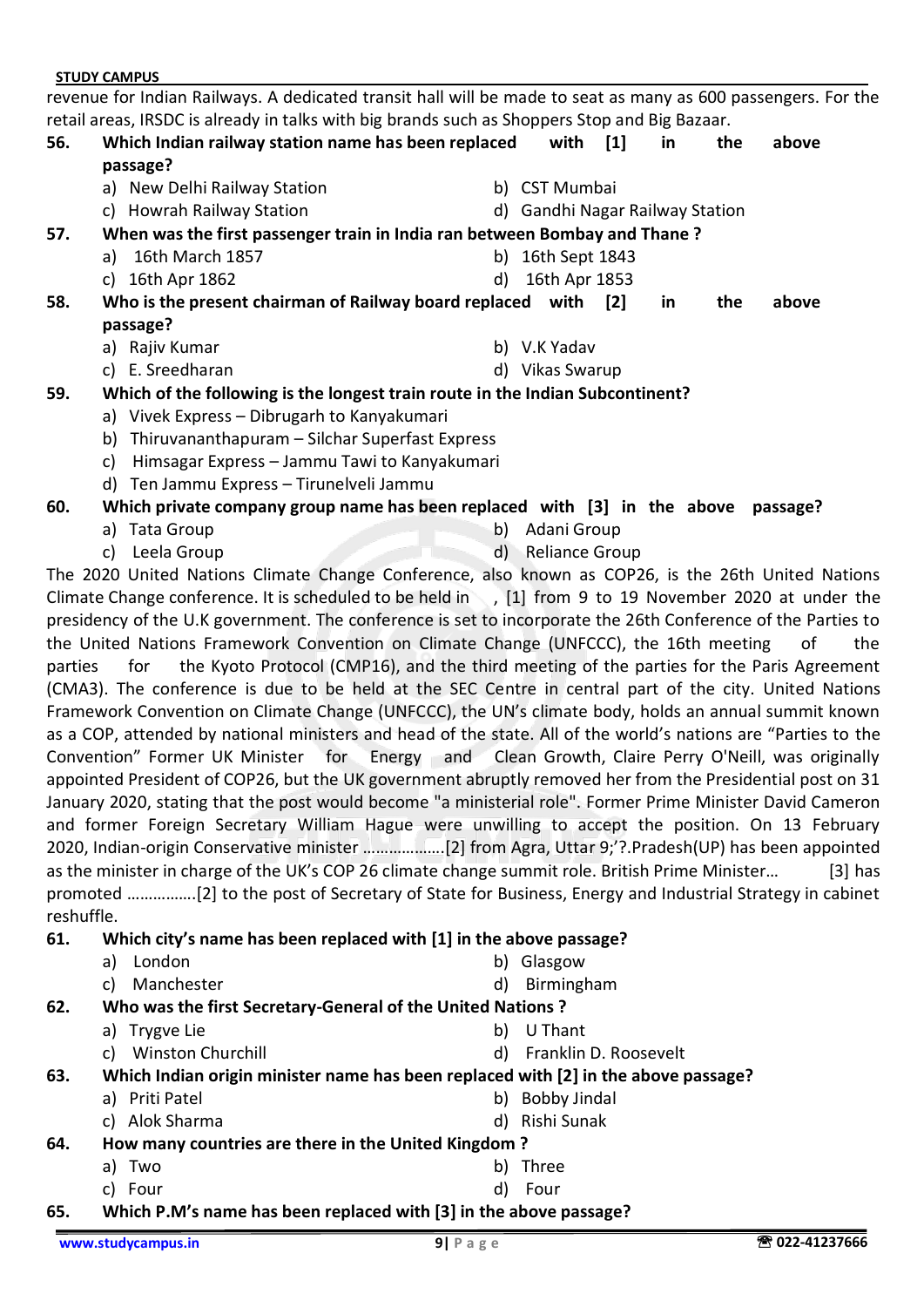revenue for Indian Railways. A dedicated transit hall will be made to seat as many as 600 passengers. For the retail areas, IRSDC is already in talks with big brands such as Shoppers Stop and Big Bazaar.

| 56.                                                                                  | Which Indian railway station name has been replaced<br>passage?          |    | with                            | $\lceil 1 \rceil$ | in | the | above    |  |
|--------------------------------------------------------------------------------------|--------------------------------------------------------------------------|----|---------------------------------|-------------------|----|-----|----------|--|
|                                                                                      | a) New Delhi Railway Station                                             |    | b) CST Mumbai                   |                   |    |     |          |  |
|                                                                                      | c) Howrah Railway Station                                                |    | d) Gandhi Nagar Railway Station |                   |    |     |          |  |
| 57.<br>When was the first passenger train in India ran between Bombay and Thane?     |                                                                          |    |                                 |                   |    |     |          |  |
|                                                                                      | 16th March 1857<br>a)                                                    | b) | 16th Sept 1843                  |                   |    |     |          |  |
|                                                                                      | 16th Apr 1862<br>C)                                                      | d) | 16th Apr 1853                   |                   |    |     |          |  |
| 58.                                                                                  | Who is the present chairman of Railway board replaced with [2]           |    |                                 |                   | in | the | above    |  |
|                                                                                      | passage?                                                                 |    |                                 |                   |    |     |          |  |
|                                                                                      | a) Rajiv Kumar                                                           |    | b) V.K Yadav                    |                   |    |     |          |  |
|                                                                                      | c) E. Sreedharan                                                         |    | d) Vikas Swarup                 |                   |    |     |          |  |
| Which of the following is the longest train route in the Indian Subcontinent?<br>59. |                                                                          |    |                                 |                   |    |     |          |  |
|                                                                                      | a) Vivek Express - Dibrugarh to Kanyakumari                              |    |                                 |                   |    |     |          |  |
|                                                                                      | Thiruvananthapuram – Silchar Superfast Express<br>b)                     |    |                                 |                   |    |     |          |  |
|                                                                                      | Himsagar Express - Jammu Tawi to Kanyakumari<br>c)                       |    |                                 |                   |    |     |          |  |
|                                                                                      | d) Ten Jammu Express - Tirunelveli Jammu                                 |    |                                 |                   |    |     |          |  |
| 60.                                                                                  | Which private company group name has been replaced with [3] in the above |    |                                 |                   |    |     | passage? |  |
|                                                                                      | a) Tata Group                                                            | b) | Adani Group                     |                   |    |     |          |  |

c) Leela Group d) Reliance Group

The 2020 United Nations Climate Change Conference, also known as COP26, is the 26th United Nations Climate Change conference. It is scheduled to be held in, [1] from 9 to 19 November 2020 at under the presidency of the U.K government. The conference is set to incorporate the 26th Conference of the Parties to the United Nations Framework Convention on Climate Change (UNFCCC), the 16th meeting of the parties for the Kyoto Protocol (CMP16), and the third meeting of the parties for the Paris Agreement (CMA3). The conference is due to be held at the SEC Centre in central part of the city. United Nations Framework Convention on Climate Change (UNFCCC), the UN's climate body, holds an annual summit known as a COP, attended by national ministers and head of the state. All of the world's nations are "Parties to the Convention" Former UK Minister for Energy and Clean Growth, Claire Perry O'Neill, was originally appointed President of COP26, but the UK government abruptly removed her from the Presidential post on 31 January 2020, stating that the post would become "a ministerial role". Former Prime Minister David Cameron and former Foreign Secretary William Hague were unwilling to accept the position. On 13 February 2020, Indian-origin Conservative minister ……………….[2] from Agra, Uttar 9;'?.Pradesh(UP) has been appointed as the minister in charge of the UK's COP 26 climate change summit role. British Prime Minister… [3] has promoted …………….[2] to the post of Secretary of State for Business, Energy and Industrial Strategy in cabinet reshuffle.

#### **61. Which city's name has been replaced with [1] in the above passage?**

| a) London | b) Glasgow |
|-----------|------------|
|           |            |

- c) Manchester d) Birmingham **62. Who was the first Secretary-General of the United Nations ?**
	- a) Trygve Lie by Books and the by U Thant
		- c) Winston Churchill d) Franklin D. Roosevelt
- **63. Which Indian origin minister name has been replaced with [2] in the above passage?**
	- a) Priti Patel **b**) Bobby Jindal
	- c) Alok Sharma d) Rishi Sunak
- **64. How many countries are there in the United Kingdom ?**
	- a) Two b) Three
	- c) Four d) Four
- **65. Which P.M's name has been replaced with [3] in the above passage?**

- 
- 
- 
- 
-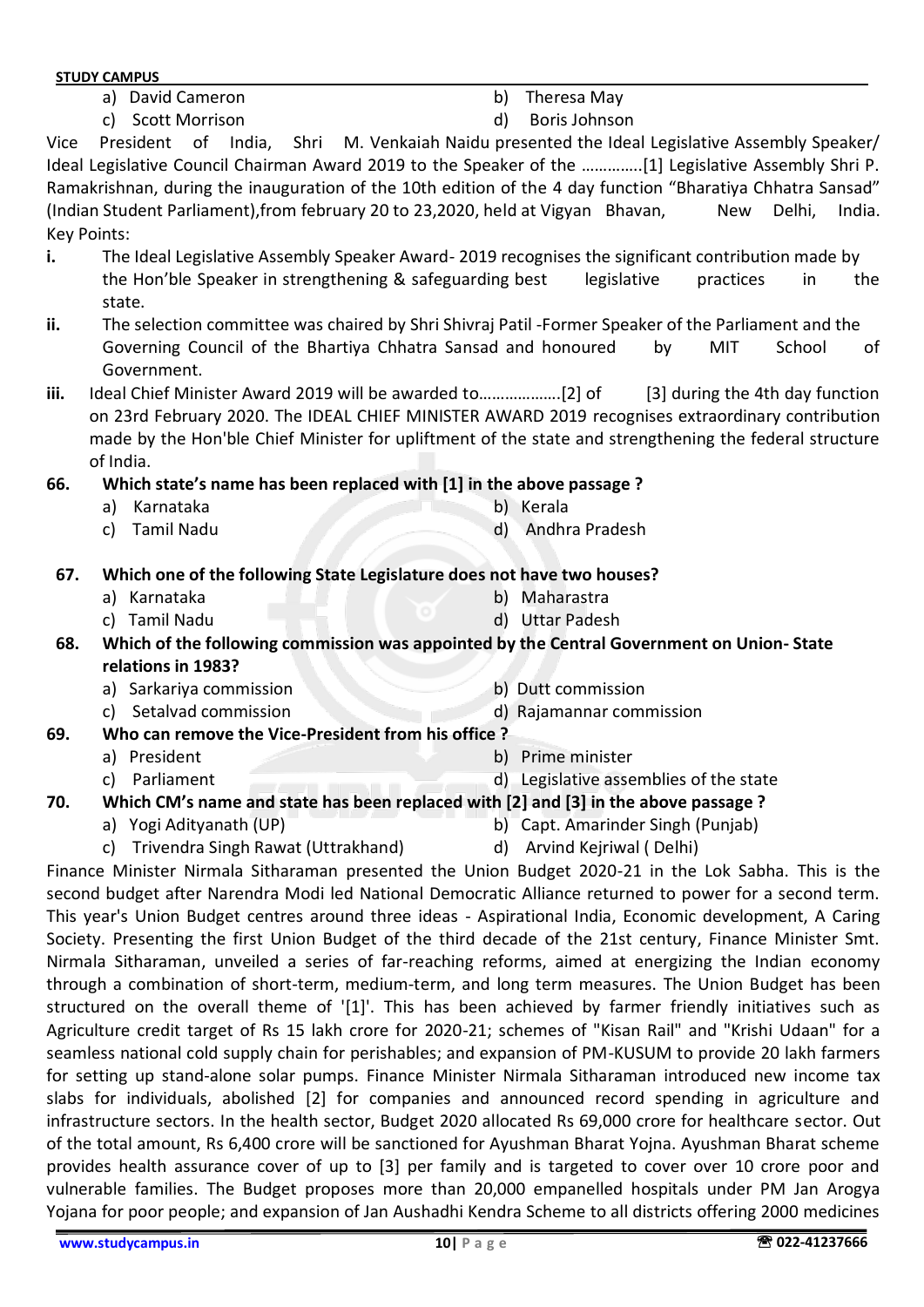- Vice President of India, Shri M. Venkaiah Naidu presented the Ideal Legislative Assembly Speaker/ Ideal Legislative Council Chairman Award 2019 to the Speaker of the …………..[1] Legislative Assembly Shri P. Ramakrishnan, during the inauguration of the 10th edition of the 4 day function "Bharatiya Chhatra Sansad" (Indian Student Parliament), from february 20 to 23,2020, held at Vigyan Bhavan, New Delhi, India. Key Points: **i.** The Ideal Legislative Assembly Speaker Award- 2019 recognises the significant contribution made by the Hon'ble Speaker in strengthening & safeguarding best legislative practices in the state. **ii.** The selection committee was chaired by Shri Shivraj Patil -Former Speaker of the Parliament and the Governing Council of the Bhartiya Chhatra Sansad and honoured by MIT School of Government. **iii.** Ideal Chief Minister Award 2019 will be awarded to……………….[2] of [3] during the 4th day function on 23rd February 2020. The IDEAL CHIEF MINISTER AWARD 2019 recognises extraordinary contribution made by the Hon'ble Chief Minister for upliftment of the state and strengthening the federal structure of India. **66. Which state's name has been replaced with [1] in the above passage ?** a) Karnataka b) Kerala c) Tamil Nadu d) Andhra Pradesh
	- **67. Which one of the following State Legislature does not have two houses?**
		- a) Karnataka b) Maharastra
		- c) Tamil Nadu d) Uttar Padesh

**68. Which of the following commission was appointed by the Central Government on Union- State relations in 1983?**

- a) Sarkariya commission b) Dutt commission
- c) Setalvad commission d) Rajamannar commission
- **69. Who can remove the Vice-President from his office ?**
	- a) President b) Prime minister
	- c) Parliament d) Legislative assemblies of the state
- **70. Which CM's name and state has been replaced with [2] and [3] in the above passage ?**
	-
	- a) Yogi Adityanath (UP) b) Capt. Amarinder Singh (Punjab)
	- c) Trivendra Singh Rawat (Uttrakhand) (d) Arvind Kejriwal ( Delhi)
- 

Finance Minister Nirmala Sitharaman presented the Union Budget 2020-21 in the Lok Sabha. This is the second budget after Narendra Modi led National Democratic Alliance returned to power for a second term. This year's Union Budget centres around three ideas - Aspirational India, Economic development, A Caring Society. Presenting the first Union Budget of the third decade of the 21st century, Finance Minister Smt. Nirmala Sitharaman, unveiled a series of far-reaching reforms, aimed at energizing the Indian economy through a combination of short-term, medium-term, and long term measures. The Union Budget has been structured on the overall theme of '[1]'. This has been achieved by farmer friendly initiatives such as Agriculture credit target of Rs 15 lakh crore for 2020-21; schemes of "Kisan Rail" and "Krishi Udaan" for a seamless national cold supply chain for perishables; and expansion of PM-KUSUM to provide 20 lakh farmers for setting up stand-alone solar pumps. Finance Minister Nirmala Sitharaman introduced new income tax slabs for individuals, abolished [2] for companies and announced record spending in agriculture and infrastructure sectors. In the health sector, Budget 2020 allocated Rs 69,000 crore for healthcare sector. Out of the total amount, Rs 6,400 crore will be sanctioned for Ayushman Bharat Yojna. Ayushman Bharat scheme provides health assurance cover of up to [3] per family and is targeted to cover over 10 crore poor and vulnerable families. The Budget proposes more than 20,000 empanelled hospitals under PM Jan Arogya Yojana for poor people; and expansion of Jan Aushadhi Kendra Scheme to all districts offering 2000 medicines

a) David Cameron b) Theresa May

**STUDY CAMPUS**

c) Scott Morrison d) Boris Johnson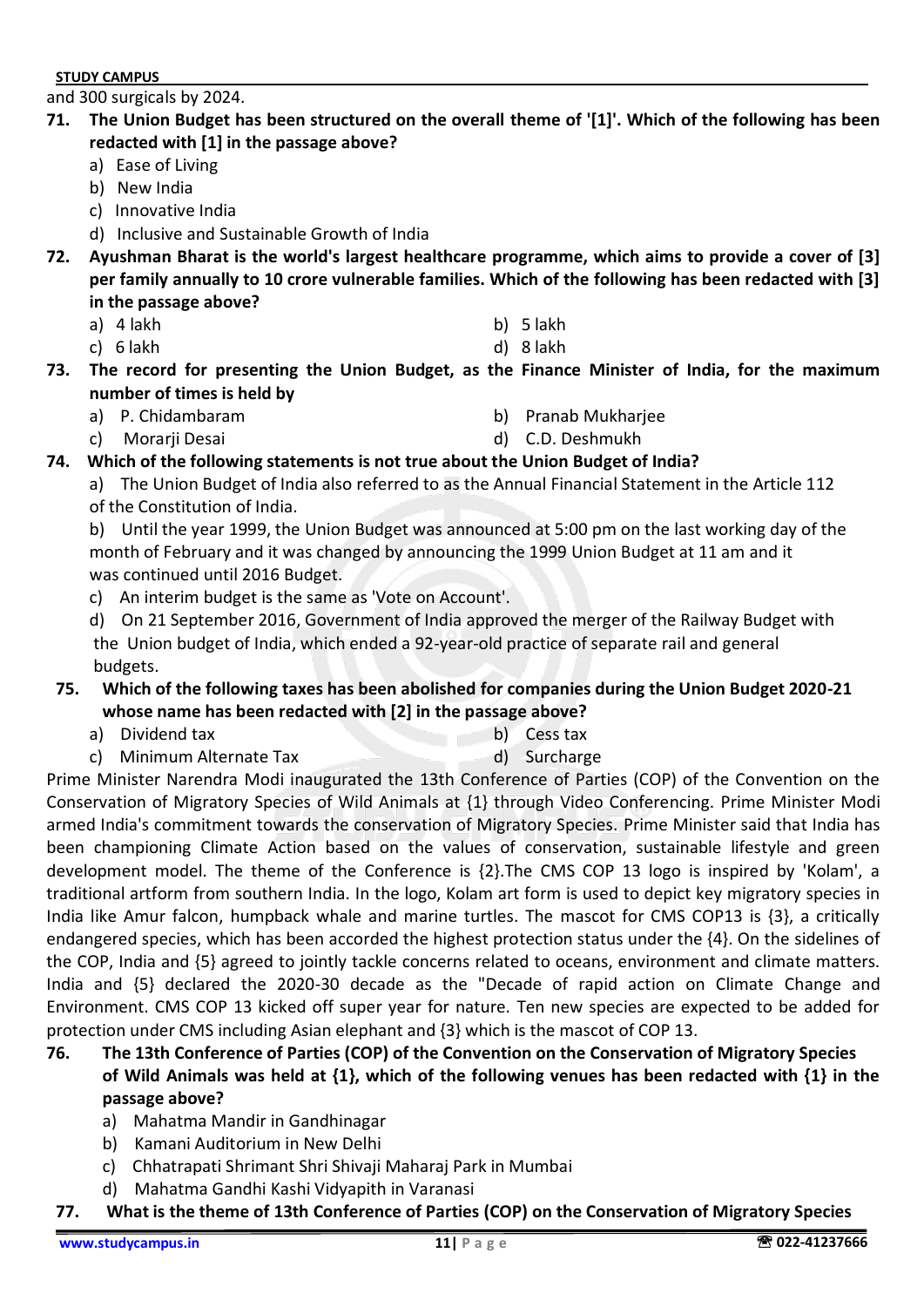and 300 surgicals by 2024.

- **71. The Union Budget has been structured on the overall theme of '[1]'. Which of the following has been redacted with [1] in the passage above?**
	- a) Ease of Living
	- b) New India
	- c) Innovative India
	- d) Inclusive and Sustainable Growth of India
- **72. Ayushman Bharat is the world's largest healthcare programme, which aims to provide a cover of [3] per family annually to 10 crore vulnerable families. Which of the following has been redacted with [3] in the passage above?**
	- a) 4 lakh b) 5 lakh
	- c) 6 lakh d) 8 lakh
- **73. The record for presenting the Union Budget, as the Finance Minister of India, for the maximum number of times is held by**
	- a) P. Chidambaram b) Pranab Mukharjee
- - c) Morarji Desai d) C.D. Deshmukh
- **74. Which of the following statements is not true about the Union Budget of India?**
	- a) The Union Budget of India also referred to as the Annual Financial Statement in the Article 112 of the Constitution of India.

b) Until the year 1999, the Union Budget was announced at 5:00 pm on the last working day of the month of February and it was changed by announcing the 1999 Union Budget at 11 am and it was continued until 2016 Budget.

- c) An interim budget is the same as 'Vote on Account'.
- d) On 21 September 2016, Government of India approved the merger of the Railway Budget with the Union budget of India, which ended a 92-year-old practice of separate rail and general budgets.

#### **75. Which of the following taxes has been abolished for companies during the Union Budget 2020-21 whose name has been redacted with [2] in the passage above?**

- a) Dividend tax b) Cess tax
- c) Minimum Alternate Tax d) Surcharge

Prime Minister Narendra Modi inaugurated the 13th Conference of Parties (COP) of the Convention on the Conservation of Migratory Species of Wild Animals at {1} through Video Conferencing. Prime Minister Modi armed India's commitment towards the conservation of Migratory Species. Prime Minister said that India has been championing Climate Action based on the values of conservation, sustainable lifestyle and green development model. The theme of the Conference is {2}.The CMS COP 13 logo is inspired by 'Kolam', a traditional artform from southern India. In the logo, Kolam art form is used to depict key migratory species in India like Amur falcon, humpback whale and marine turtles. The mascot for CMS COP13 is {3}, a critically endangered species, which has been accorded the highest protection status under the {4}. On the sidelines of the COP, India and {5} agreed to jointly tackle concerns related to oceans, environment and climate matters. India and {5} declared the 2020-30 decade as the "Decade of rapid action on Climate Change and Environment. CMS COP 13 kicked off super year for nature. Ten new species are expected to be added for protection under CMS including Asian elephant and {3} which is the mascot of COP 13.

- **76. The 13th Conference of Parties (COP) of the Convention on the Conservation of Migratory Species of Wild Animals was held at {1}, which of the following venues has been redacted with {1} in the passage above?**
	- a) Mahatma Mandir in Gandhinagar
	- b) Kamani Auditorium in New Delhi
	- c) Chhatrapati Shrimant Shri Shivaji Maharaj Park in Mumbai
	- d) Mahatma Gandhi Kashi Vidyapith in Varanasi
- **77. What is the theme of 13th Conference of Parties (COP) on the Conservation of Migratory Species**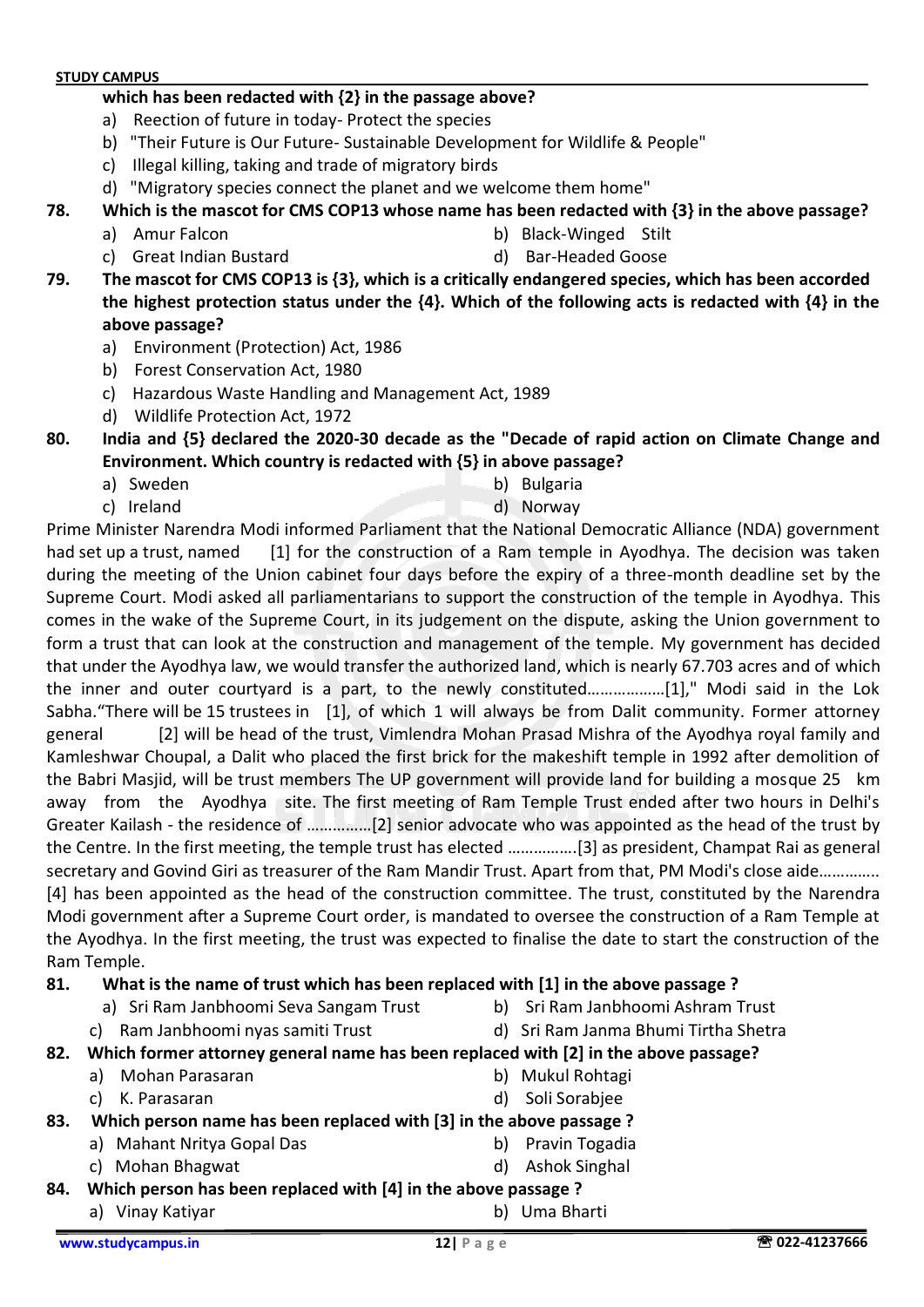#### **which has been redacted with {2} in the passage above?**

- a) Reection of future in today- Protect the species
- b) "Their Future is Our Future- Sustainable Development for Wildlife & People"
- c) Illegal killing, taking and trade of migratory birds
- d) "Migratory species connect the planet and we welcome them home"
- **78. Which is the mascot for CMS COP13 whose name has been redacted with {3} in the above passage?**
	- a) Amur Falcon b) Black-Winged Stilt
		-
	- c) Great Indian Bustard and d) Bar-Headed Goose
		-

**79. The mascot for CMS COP13 is {3}, which is a critically endangered species, which has been accorded the highest protection status under the {4}. Which of the following acts is redacted with {4} in the above passage?**

- a) Environment (Protection) Act, 1986
- b) Forest Conservation Act, 1980
- c) Hazardous Waste Handling and Management Act, 1989
- d) Wildlife Protection Act, 1972
- **80. India and {5} declared the 2020-30 decade as the "Decade of rapid action on Climate Change and Environment. Which country is redacted with {5} in above passage?**
	- a) Sweden b) Bulgaria
	- c) Ireland d) Norway

Prime Minister Narendra Modi informed Parliament that the National Democratic Alliance (NDA) government had set up a trust, named [1] for the construction of a Ram temple in Ayodhya. The decision was taken during the meeting of the Union cabinet four days before the expiry of a three-month deadline set by the Supreme Court. Modi asked all parliamentarians to support the construction of the temple in Ayodhya. This comes in the wake of the Supreme Court, in its judgement on the dispute, asking the Union government to form a trust that can look at the construction and management of the temple. My government has decided that under the Ayodhya law, we would transfer the authorized land, which is nearly 67.703 acres and of which the inner and outer courtyard is a part, to the newly constituted………………[1]," Modi said in the Lok Sabha."There will be 15 trustees in [1], of which 1 will always be from Dalit community. Former attorney general [2] will be head of the trust, Vimlendra Mohan Prasad Mishra of the Ayodhya royal family and Kamleshwar Choupal, a Dalit who placed the first brick for the makeshift temple in 1992 after demolition of the Babri Masjid, will be trust members The UP government will provide land for building a mosque 25 km away from the Ayodhya site. The first meeting of Ram Temple Trust ended after two hours in Delhi's Greater Kailash - the residence of ……………[2] senior advocate who was appointed as the head of the trust by the Centre. In the first meeting, the temple trust has elected …………….[3] as president, Champat Rai as general secretary and Govind Giri as treasurer of the Ram Mandir Trust. Apart from that, PM Modi's close aide………….. [4] has been appointed as the head of the construction committee. The trust, constituted by the Narendra Modi government after a Supreme Court order, is mandated to oversee the construction of a Ram Temple at the Ayodhya. In the first meeting, the trust was expected to finalise the date to start the construction of the Ram Temple.

#### **81. What is the name of trust which has been replaced with [1] in the above passage ?**

- a) Sri Ram Janbhoomi Seva Sangam Trust b) Sri Ram Janbhoomi Ashram Trust
	-
	-
- 
- c) Ram Janbhoomi nyas samiti Trust d) Sri Ram Janma Bhumi Tirtha Shetra

**82. Which former attorney general name has been replaced with [2] in the above passage?**

- a) Mohan Parasaran **b**) Mukul Rohtagi
- c) K. Parasaran d) Soli Sorabjee
- **83. Which person name has been replaced with [3] in the above passage ?**
	- a) Mahant Nritya Gopal Das b) Pravin Togadia
		- c) Mohan Bhagwat d) Ashok Singhal
- **84. Which person has been replaced with [4] in the above passage ?**
	- a) Vinay Katiyar b) Uma Bharti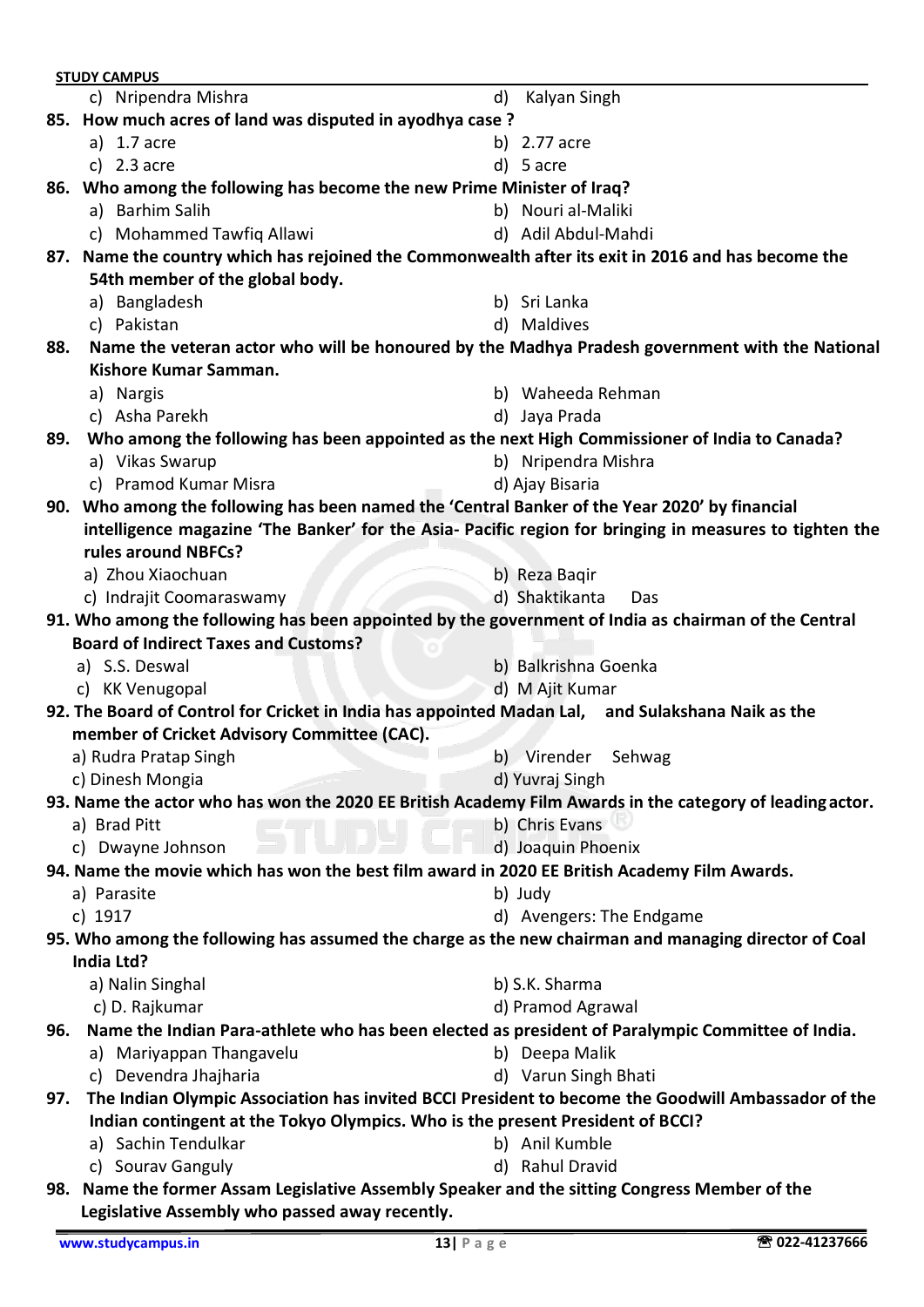|     | <b>STUDY CAMPUS</b>                                                                                      |    |                          |
|-----|----------------------------------------------------------------------------------------------------------|----|--------------------------|
|     | c) Nripendra Mishra                                                                                      | d) | Kalyan Singh             |
|     | 85. How much acres of land was disputed in ayodhya case?                                                 |    |                          |
|     | a) 1.7 acre                                                                                              |    | b) 2.77 acre             |
|     | c) $2.3$ acre                                                                                            |    | d) 5 acre                |
|     | 86. Who among the following has become the new Prime Minister of Iraq?                                   |    |                          |
|     | a) Barhim Salih                                                                                          |    | b) Nouri al-Maliki       |
|     | c) Mohammed Tawfiq Allawi                                                                                |    | d) Adil Abdul-Mahdi      |
|     | 87. Name the country which has rejoined the Commonwealth after its exit in 2016 and has become the       |    |                          |
|     | 54th member of the global body.                                                                          |    |                          |
|     | a) Bangladesh                                                                                            |    | b) Sri Lanka             |
|     | c) Pakistan                                                                                              |    | d) Maldives              |
| 88. | Name the veteran actor who will be honoured by the Madhya Pradesh government with the National           |    |                          |
|     | Kishore Kumar Samman.                                                                                    |    |                          |
|     | a) Nargis                                                                                                |    | b) Waheeda Rehman        |
|     | c) Asha Parekh                                                                                           |    | d) Jaya Prada            |
| 89. | Who among the following has been appointed as the next High Commissioner of India to Canada?             |    |                          |
|     | a) Vikas Swarup                                                                                          |    | b) Nripendra Mishra      |
|     | c) Pramod Kumar Misra                                                                                    |    | d) Ajay Bisaria          |
|     | 90. Who among the following has been named the 'Central Banker of the Year 2020' by financial            |    |                          |
|     | intelligence magazine 'The Banker' for the Asia- Pacific region for bringing in measures to tighten the  |    |                          |
|     | rules around NBFCs?                                                                                      |    |                          |
|     | a) Zhou Xiaochuan                                                                                        |    | b) Reza Bagir            |
|     | c) Indrajit Coomaraswamy                                                                                 |    | d) Shaktikanta<br>Das    |
|     | 91. Who among the following has been appointed by the government of India as chairman of the Central     |    |                          |
|     | <b>Board of Indirect Taxes and Customs?</b>                                                              |    |                          |
|     | a) S.S. Deswal                                                                                           |    | b) Balkrishna Goenka     |
|     | c) KK Venugopal                                                                                          |    | d) M Ajit Kumar          |
|     | 92. The Board of Control for Cricket in India has appointed Madan Lal, and Sulakshana Naik as the        |    |                          |
|     | member of Cricket Advisory Committee (CAC).                                                              |    |                          |
|     | a) Rudra Pratap Singh                                                                                    |    | b) Virender<br>Sehwag    |
|     | c) Dinesh Mongia                                                                                         |    | d) Yuvraj Singh          |
|     | 93. Name the actor who has won the 2020 EE British Academy Film Awards in the category of leading actor. |    |                          |
|     | a) Brad Pitt                                                                                             |    | b) Chris Evans           |
|     | c) Dwayne Johnson                                                                                        |    | d) Joaquin Phoenix       |
|     | 94. Name the movie which has won the best film award in 2020 EE British Academy Film Awards.             |    |                          |
|     | a) Parasite                                                                                              |    | b) Judy                  |
|     | c) 1917                                                                                                  |    | d) Avengers: The Endgame |
|     | 95. Who among the following has assumed the charge as the new chairman and managing director of Coal     |    |                          |
|     | India Ltd?                                                                                               |    |                          |
|     | a) Nalin Singhal                                                                                         |    | b) S.K. Sharma           |
|     | c) D. Rajkumar                                                                                           |    | d) Pramod Agrawal        |
| 96. | Name the Indian Para-athlete who has been elected as president of Paralympic Committee of India.         |    |                          |
|     | a) Mariyappan Thangavelu                                                                                 |    | b) Deepa Malik           |
|     | c) Devendra Jhajharia                                                                                    |    | d) Varun Singh Bhati     |
| 97. | The Indian Olympic Association has invited BCCI President to become the Goodwill Ambassador of the       |    |                          |
|     | Indian contingent at the Tokyo Olympics. Who is the present President of BCCI?                           |    |                          |
|     | a) Sachin Tendulkar                                                                                      |    | b) Anil Kumble           |
|     | c) Sourav Ganguly                                                                                        |    | d) Rahul Dravid          |
|     | 98. Name the former Assam Legislative Assembly Speaker and the sitting Congress Member of the            |    |                          |
|     | Legislative Assembly who passed away recently.                                                           |    |                          |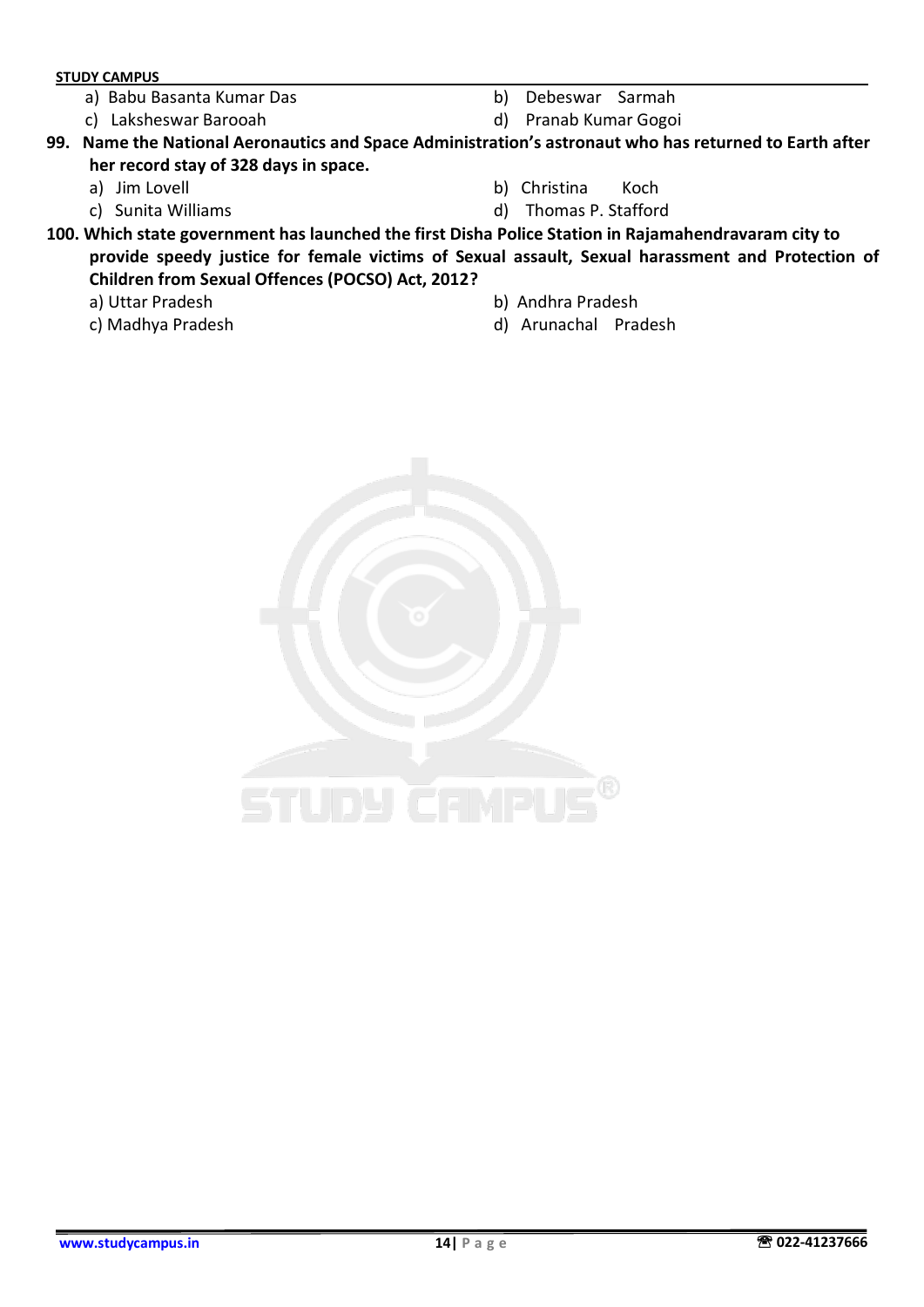- a) Babu Basanta Kumar Das b) Debeswar Sarmah
- c) Laksheswar Barooah d) Pranab Kumar Gogoi
- -

**99. Name the National Aeronautics and Space Administration's astronaut who has returned to Earth after her record stay of 328 days in space.**

- 
- 
- a) Jim Lovell b) Christina Koch
- c) Sunita Williams d) Thomas P. Stafford

**100. Which state government has launched the first Disha Police Station in Rajamahendravaram city to provide speedy justice for female victims of Sexual assault, Sexual harassment and Protection of Children from Sexual Offences (POCSO) Act, 2012?**

- 
- 
- a) Uttar Pradesh b) Andhra Pradesh
- c) Madhya Pradesh d) Arunachal Pradesh